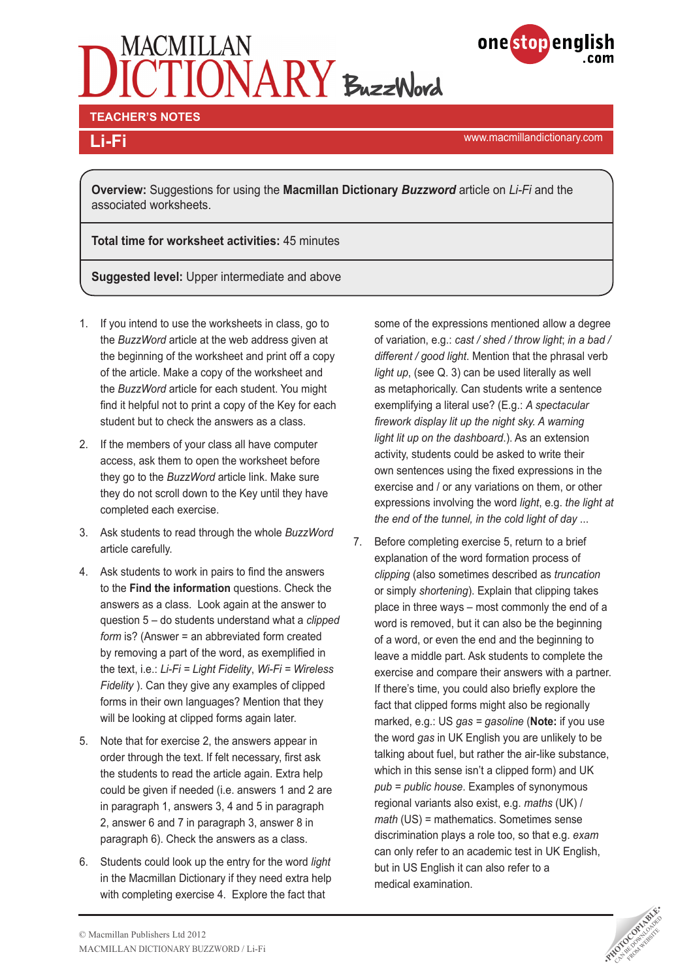# MACMILLAN<br>ICTIONARY BuzzWord



**TEACHER'S NOTES** 

www.macmillandictionary.com **Li-Fi**

**Overview:** Suggestions for using the **Macmillan Dictionary** *Buzzword* article on *Li-Fi* and the associated worksheets.

**Total time for worksheet activities:** 45 minutes

**Suggested level:** Upper intermediate and above

- 1. If you intend to use the worksheets in class, go to the *BuzzWord* article at the web address given at the beginning of the worksheet and print off a copy of the article. Make a copy of the worksheet and the *BuzzWord* article for each student. You might find it helpful not to print a copy of the Key for each student but to check the answers as a class.
- 2. If the members of your class all have computer access, ask them to open the worksheet before they go to the *BuzzWord* article link. Make sure they do not scroll down to the Key until they have completed each exercise.
- 3. Ask students to read through the whole *BuzzWord* article carefully.
- 4. Ask students to work in pairs to find the answers to the **Find the information** questions. Check the answers as a class. Look again at the answer to question 5 – do students understand what a *clipped form* is? (Answer = an abbreviated form created by removing a part of the word, as exemplified in the text, i.e.: *Li-Fi = Light Fidelity*, *Wi-Fi = Wireless Fidelity* ). Can they give any examples of clipped forms in their own languages? Mention that they will be looking at clipped forms again later.
- 5. Note that for exercise 2, the answers appear in order through the text. If felt necessary, first ask the students to read the article again. Extra help could be given if needed (i.e. answers 1 and 2 are in paragraph 1, answers 3, 4 and 5 in paragraph 2, answer 6 and 7 in paragraph 3, answer 8 in paragraph 6). Check the answers as a class.
- 6. Students could look up the entry for the word *light* in the Macmillan Dictionary if they need extra help with completing exercise 4. Explore the fact that

some of the expressions mentioned allow a degree of variation, e.g.: *cast / shed / throw light*; *in a bad / different / good light*. Mention that the phrasal verb *light up*, (see Q. 3) can be used literally as well as metaphorically. Can students write a sentence exemplifying a literal use? (E.g.: *A spectacular firework display lit up the night sky. A warning light lit up on the dashboard*.). As an extension activity, students could be asked to write their own sentences using the fixed expressions in the exercise and / or any variations on them, or other expressions involving the word *light*, e.g. *the light at the end of the tunnel, in the cold light of day* ...

7. Before completing exercise 5, return to a brief explanation of the word formation process of *clipping* (also sometimes described as *truncation* or simply *shortening*). Explain that clipping takes place in three ways – most commonly the end of a word is removed, but it can also be the beginning of a word, or even the end and the beginning to leave a middle part. Ask students to complete the exercise and compare their answers with a partner. If there's time, you could also briefly explore the fact that clipped forms might also be regionally marked, e.g.: US *gas = gasoline* (**Note:** if you use the word *gas* in UK English you are unlikely to be talking about fuel, but rather the air-like substance, which in this sense isn't a clipped form) and UK *pub = public house*. Examples of synonymous regional variants also exist, e.g. *maths* (UK) / *math* (US) = mathematics. Sometimes sense discrimination plays a role too, so that e.g. *exam* can only refer to an academic test in UK English, but in US English it can also refer to a medical examination.

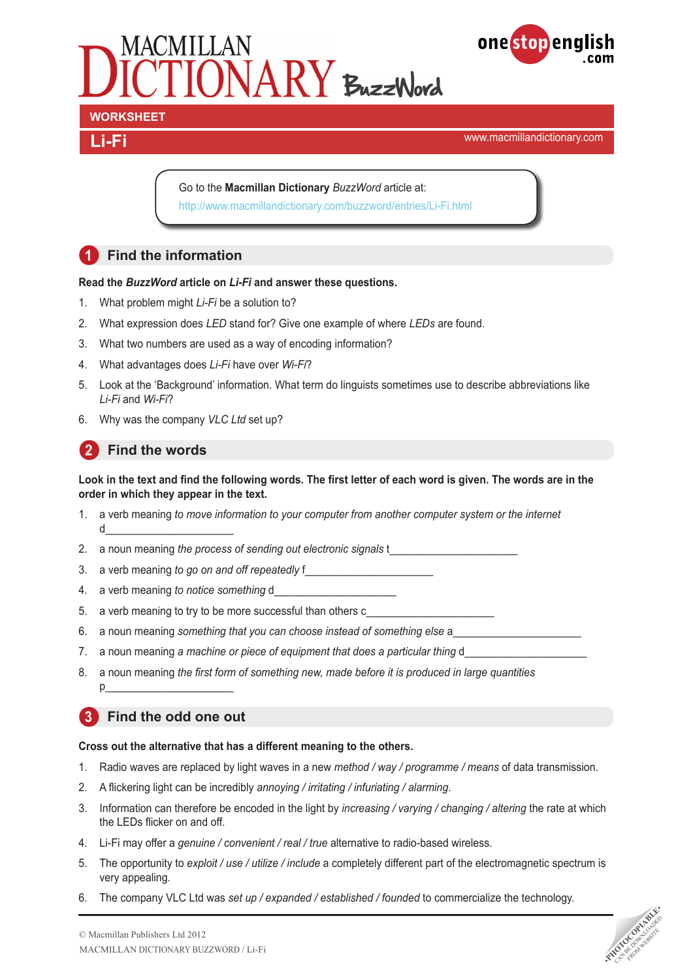



www.macmillandictionary.com **Li-Fi**

Go to the **Macmillan Dictionary** *BuzzWord* article at: <http://www.macmillandictionary.com/buzzword/entries/Li-Fi.html>

# **1 Find the information**

# **Read the** *BuzzWord* **article on** *Li-Fi* **and answer these questions.**

- 1. What problem might *Li-Fi* be a solution to?
- 2. What expression does *LED* stand for? Give one example of where *LEDs* are found.
- 3. What two numbers are used as a way of encoding information?
- 4. What advantages does *Li-Fi* have over *Wi-Fi*?
- 5. Look at the 'Background' information. What term do linguists sometimes use to describe abbreviations like *Li-Fi* and *Wi-Fi*?
- 6. Why was the company *VLC Ltd* set up?

# **2 Find the words**

# **Look in the text and find the following words. The first letter of each word is given. The words are in the order in which they appear in the text.**

- 1. a verb meaning *to move information to your computer from another computer system or the internet* d\_\_\_\_\_\_\_\_\_\_\_\_\_\_\_\_\_\_\_\_\_\_
- 2. a noun meaning *the process of sending out electronic signals* t
- 3. a verb meaning *to go on and off repeatedly* f
- 4. a verb meaning to notice something d
- 5. a verb meaning to try to be more successful than others c
- 6. a noun meaning *something that you can choose instead of something else* a\_\_\_\_\_\_\_\_\_\_\_\_\_\_\_\_\_\_\_\_\_\_
- 7. a noun meaning a machine or piece of equipment that does a particular thing d\_
- 8. a noun meaning *the first form of something new, made before it is produced in large quantities* p\_\_\_\_\_\_\_\_\_\_\_\_\_\_\_\_\_\_\_\_\_\_

# **3 Find the odd one out**

# **Cross out the alternative that has a different meaning to the others.**

- 1. Radio waves are replaced by light waves in a new *method / way / programme / means* of data transmission.
- 2. A flickering light can be incredibly *annoying / irritating / infuriating / alarming*.
- 3. Information can therefore be encoded in the light by *increasing / varying / changing / altering* the rate at which the LEDs flicker on and off.
- 4. Li-Fi may offer a *genuine / convenient / real / true* alternative to radio-based wireless.
- 5. The opportunity to *exploit / use / utilize / include* a completely different part of the electromagnetic spectrum is very appealing.
- 6. The company VLC Ltd was *set up / expanded / established / founded* to commercialize the technology.

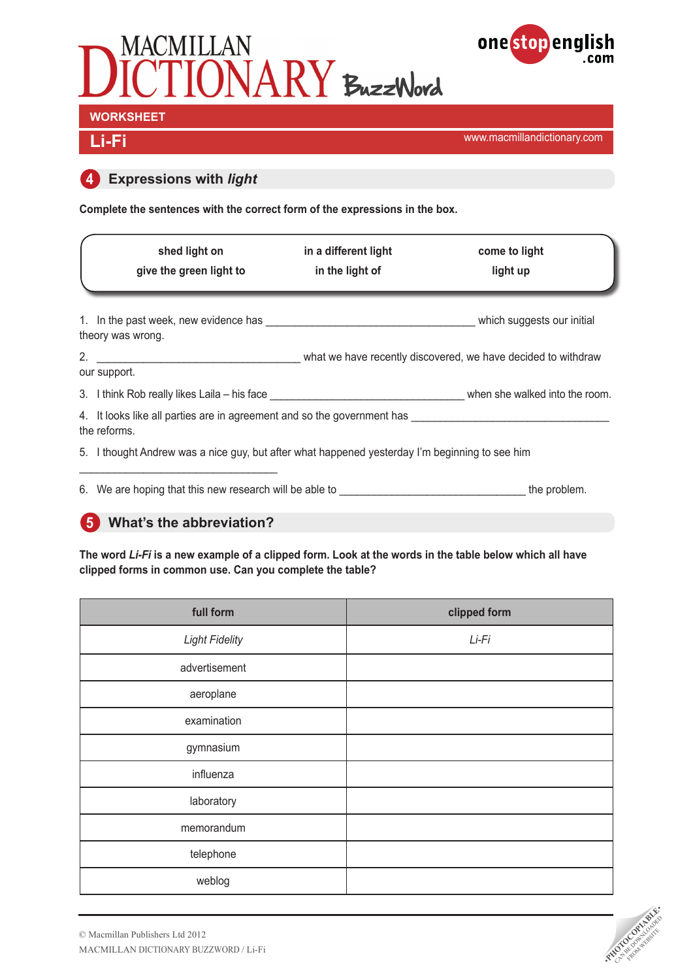



www.macmillandictionary.com **Li-Fi**

# **4 Expressions with** *light*

**Complete the sentences with the correct form of the expressions in the box.**

| shed light on<br>give the green light to                                                                                   | in a different light<br>in the light of | come to light<br>light up                                     |
|----------------------------------------------------------------------------------------------------------------------------|-----------------------------------------|---------------------------------------------------------------|
| 1. In the past week, new evidence has a series of the series of the series which suggests our initial<br>theory was wrong. |                                         |                                                               |
| 2.<br>our support.                                                                                                         |                                         | what we have recently discovered, we have decided to withdraw |
| 3. I think Rob really likes Laila – his face example and the community of the matter when she walked into the room.        |                                         |                                                               |
| 4. It looks like all parties are in agreement and so the government has<br>the reforms.                                    |                                         |                                                               |
| 5. I thought Andrew was a nice guy, but after what happened yesterday I'm beginning to see him                             |                                         |                                                               |
|                                                                                                                            |                                         |                                                               |

6. We are hoping that this new research will be able to \_\_\_\_\_\_\_\_\_\_\_\_\_\_\_\_\_\_\_\_\_\_\_\_\_\_\_\_\_\_\_\_ the problem.

# **5 What's the abbreviation?**

**The word** *Li-Fi* **is a new example of a clipped form. Look at the words in the table below which all have clipped forms in common use. Can you complete the table?** 

| full form             | clipped form |
|-----------------------|--------------|
| <b>Light Fidelity</b> | Li-Fi        |
| advertisement         |              |
| aeroplane             |              |
| examination           |              |
| gymnasium             |              |
| influenza             |              |
| laboratory            |              |
| memorandum            |              |
| telephone             |              |
| weblog                |              |